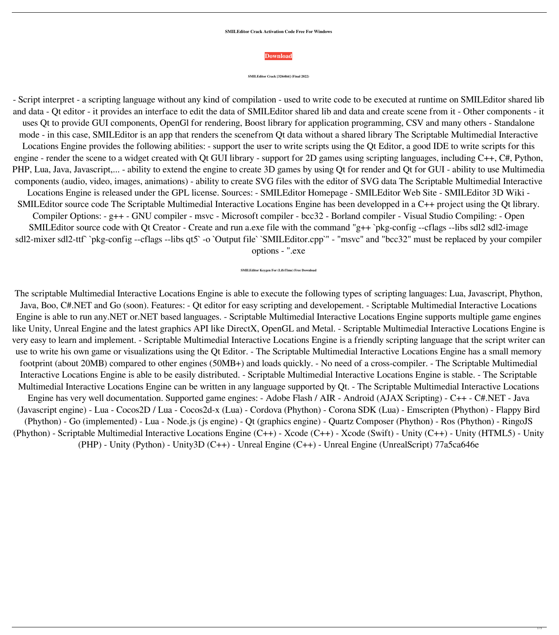## **SMILEditor Crack Activation Code Free For Windows**

- Script interpret - a scripting language without any kind of compilation - used to write code to be executed at runtime on SMILEditor shared lib and data - Qt editor - it provides an interface to edit the data of SMILEditor shared lib and data and create scene from it - Other components - it uses Qt to provide GUI components, OpenGl for rendering, Boost library for application programming, CSV and many others - Standalone mode - in this case, SMILEditor is an app that renders the scenefrom Qt data without a shared library The Scriptable Multimedial Interactive Locations Engine provides the following abilities: - support the user to write scripts using the Qt Editor, a good IDE to write scripts for this engine - render the scene to a widget created with Qt GUI library - support for 2D games using scripting languages, including C++, C#, Python, PHP, Lua, Java, Javascript,... - ability to extend the engine to create 3D games by using Qt for render and Qt for GUI - ability to use Multimedia components (audio, video, images, animations) - ability to create SVG files with the editor of SVG data The Scriptable Multimedial Interactive Locations Engine is released under the GPL license. Sources: - SMILEditor Homepage - SMILEditor Web Site - SMILEditor 3D Wiki - SMILEditor source code The Scriptable Multimedial Interactive Locations Engine has been developped in a C++ project using the Qt library. Compiler Options: - g++ - GNU compiler - msvc - Microsoft compiler - bcc32 - Borland compiler - Visual Studio Compiling: - Open SMILEditor source code with Qt Creator - Create and run a.exe file with the command "g++ `pkg-config --cflags --libs sdl2 sdl2-image sdl2-mixer sdl2-ttf` `pkg-config --cflags --libs qt5` -o `Output file` `SMILEditor.cpp`" - "msvc" and "bcc32" must be replaced by your compiler



**SMILEditor Crack [32|64bit] (Final 2022)**

options - ".exe

The scriptable Multimedial Interactive Locations Engine is able to execute the following types of scripting languages: Lua, Javascript, Phython, Java, Boo, C#.NET and Go (soon). Features: - Qt editor for easy scripting and developement. - Scriptable Multimedial Interactive Locations Engine is able to run any.NET or.NET based languages. - Scriptable Multimedial Interactive Locations Engine supports multiple game engines like Unity, Unreal Engine and the latest graphics API like DirectX, OpenGL and Metal. - Scriptable Multimedial Interactive Locations Engine is very easy to learn and implement. - Scriptable Multimedial Interactive Locations Engine is a friendly scripting language that the script writer can use to write his own game or visualizations using the Qt Editor. - The Scriptable Multimedial Interactive Locations Engine has a small memory footprint (about 20MB) compared to other engines (50MB+) and loads quickly. - No need of a cross-compiler. - The Scriptable Multimedial Interactive Locations Engine is able to be easily distributed. - Scriptable Multimedial Interactive Locations Engine is stable. - The Scriptable Multimedial Interactive Locations Engine can be written in any language supported by Qt. - The Scriptable Multimedial Interactive Locations Engine has very well documentation. Supported game engines: - Adobe Flash / AIR - Android (AJAX Scripting) - C++ - C#.NET - Java (Javascript engine) - Lua - Cocos2D / Lua - Cocos2d-x (Lua) - Cordova (Phython) - Corona SDK (Lua) - Emscripten (Phython) - Flappy Bird (Phython) - Go (implemented) - Lua - Node.js (js engine) - Qt (graphics engine) - Quartz Composer (Phython) - Ros (Phython) - RingoJS (Phython) - Scriptable Multimedial Interactive Locations Engine (C++) - Xcode (C++) - Xcode (Swift) - Unity (C++) - Unity (HTML5) - Unity (PHP) - Unity (Python) - Unity3D (C++) - Unreal Engine (C++) - Unreal Engine (UnrealScript) 77a5ca646e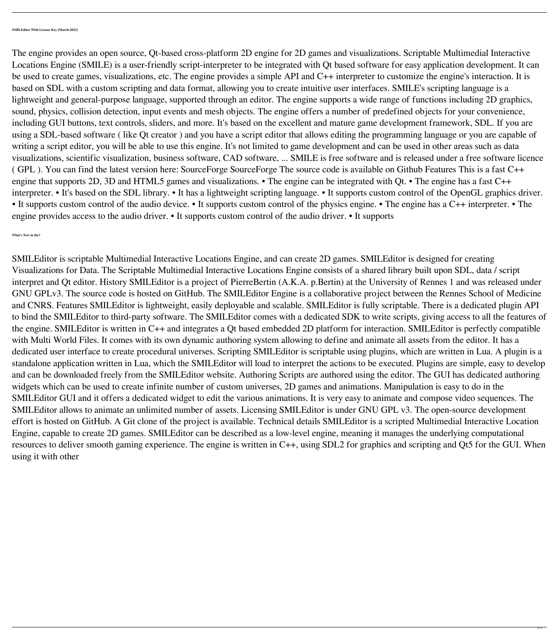The engine provides an open source, Qt-based cross-platform 2D engine for 2D games and visualizations. Scriptable Multimedial Interactive Locations Engine (SMILE) is a user-friendly script-interpreter to be integrated with Qt based software for easy application development. It can be used to create games, visualizations, etc. The engine provides a simple API and C++ interpreter to customize the engine's interaction. It is based on SDL with a custom scripting and data format, allowing you to create intuitive user interfaces. SMILE's scripting language is a lightweight and general-purpose language, supported through an editor. The engine supports a wide range of functions including 2D graphics, sound, physics, collision detection, input events and mesh objects. The engine offers a number of predefined objects for your convenience, including GUI buttons, text controls, sliders, and more. It's based on the excellent and mature game development framework, SDL. If you are using a SDL-based software ( like Qt creator ) and you have a script editor that allows editing the programming language or you are capable of writing a script editor, you will be able to use this engine. It's not limited to game development and can be used in other areas such as data visualizations, scientific visualization, business software, CAD software, ... SMILE is free software and is released under a free software licence ( GPL ). You can find the latest version here: SourceForge SourceForge The source code is available on Github Features This is a fast C++ engine that supports 2D, 3D and HTML5 games and visualizations. • The engine can be integrated with Qt. • The engine has a fast C++ interpreter. • It's based on the SDL library. • It has a lightweight scripting language. • It supports custom control of the OpenGL graphics driver. • It supports custom control of the audio device. • It supports custom control of the physics engine. • The engine has a C++ interpreter. • The engine provides access to the audio driver. • It supports custom control of the audio driver. • It supports

SMILEditor is scriptable Multimedial Interactive Locations Engine, and can create 2D games. SMILEditor is designed for creating Visualizations for Data. The Scriptable Multimedial Interactive Locations Engine consists of a shared library built upon SDL, data / script interpret and Qt editor. History SMILEditor is a project of PierreBertin (A.K.A. p.Bertin) at the University of Rennes 1 and was released under GNU GPLv3. The source code is hosted on GitHub. The SMILEditor Engine is a collaborative project between the Rennes School of Medicine and CNRS. Features SMILEditor is lightweight, easily deployable and scalable. SMILEditor is fully scriptable. There is a dedicated plugin API to bind the SMILEditor to third-party software. The SMILEditor comes with a dedicated SDK to write scripts, giving access to all the features of the engine. SMILEditor is written in C++ and integrates a Qt based embedded 2D platform for interaction. SMILEditor is perfectly compatible with Multi World Files. It comes with its own dynamic authoring system allowing to define and animate all assets from the editor. It has a dedicated user interface to create procedural universes. Scripting SMILEditor is scriptable using plugins, which are written in Lua. A plugin is a standalone application written in Lua, which the SMILEditor will load to interpret the actions to be executed. Plugins are simple, easy to develop and can be downloaded freely from the SMILEditor website. Authoring Scripts are authored using the editor. The GUI has dedicated authoring widgets which can be used to create infinite number of custom universes, 2D games and animations. Manipulation is easy to do in the SMILEditor GUI and it offers a dedicated widget to edit the various animations. It is very easy to animate and compose video sequences. The SMILEditor allows to animate an unlimited number of assets. Licensing SMILEditor is under GNU GPL v3. The open-source development effort is hosted on GitHub. A Git clone of the project is available. Technical details SMILEditor is a scripted Multimedial Interactive Location Engine, capable to create 2D games. SMILEditor can be described as a low-level engine, meaning it manages the underlying computational resources to deliver smooth gaming experience. The engine is written in C++, using SDL2 for graphics and scripting and Qt5 for the GUI. When using it with other